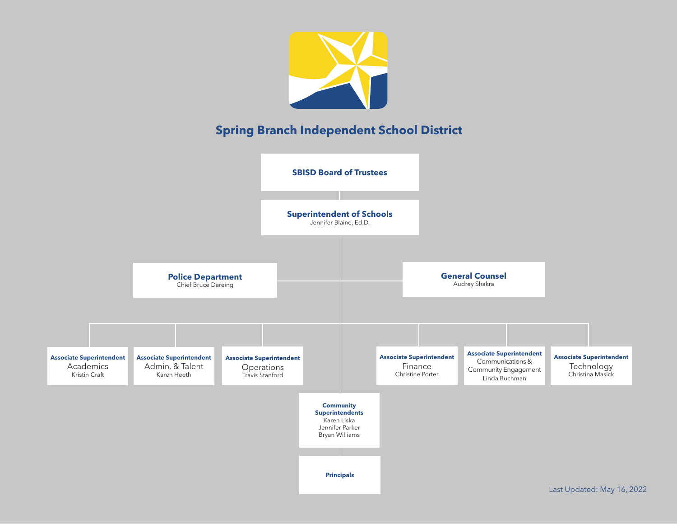

Last Updated: May 16, 2022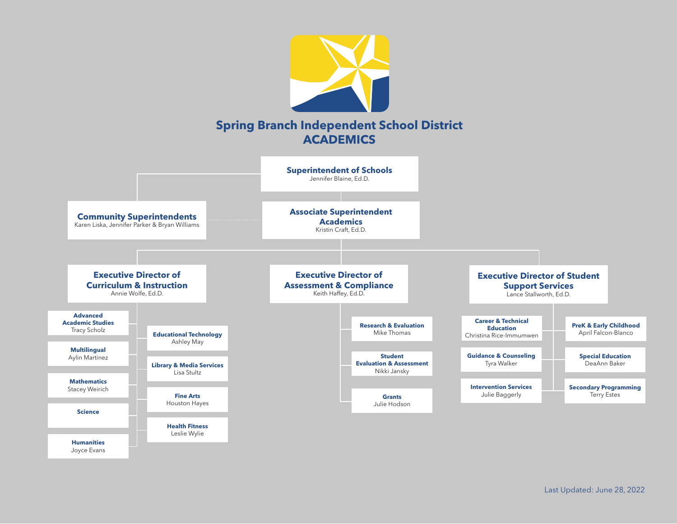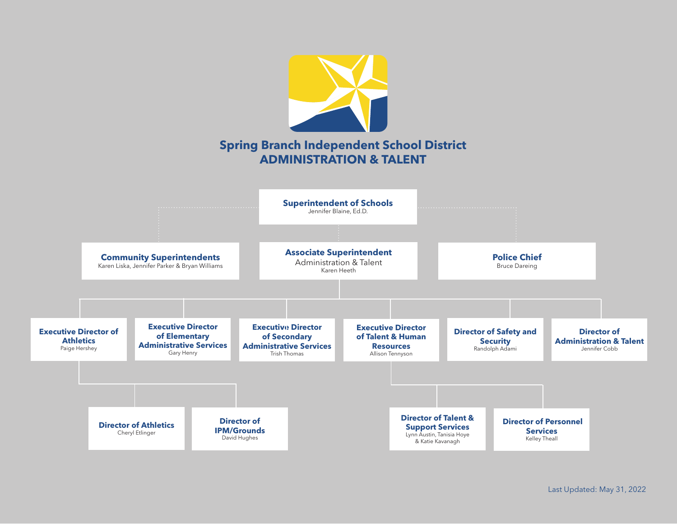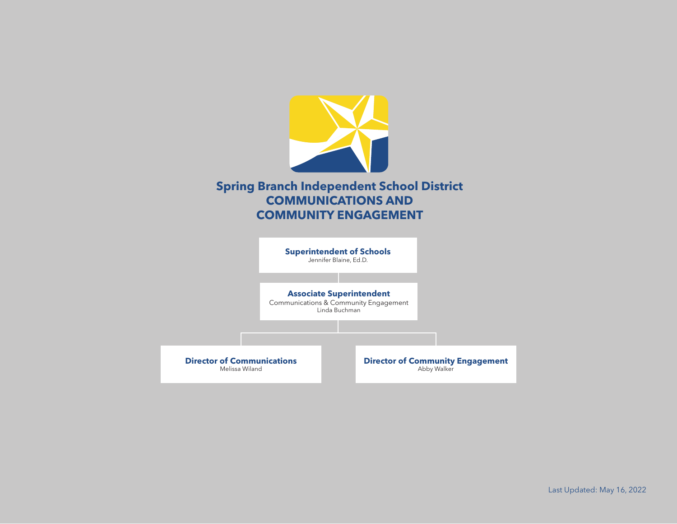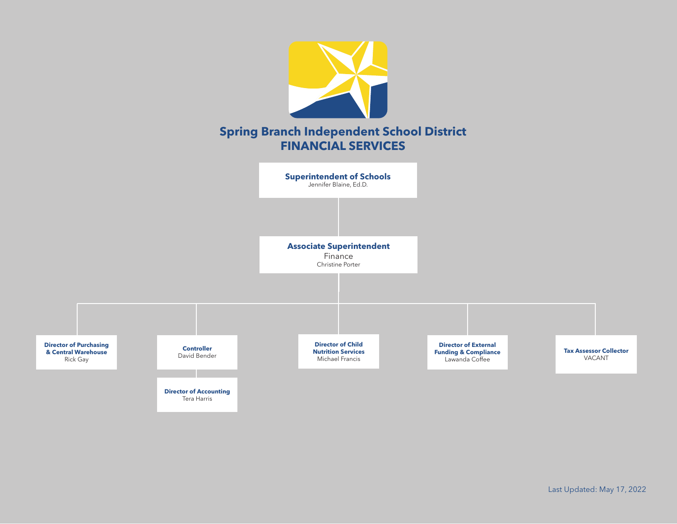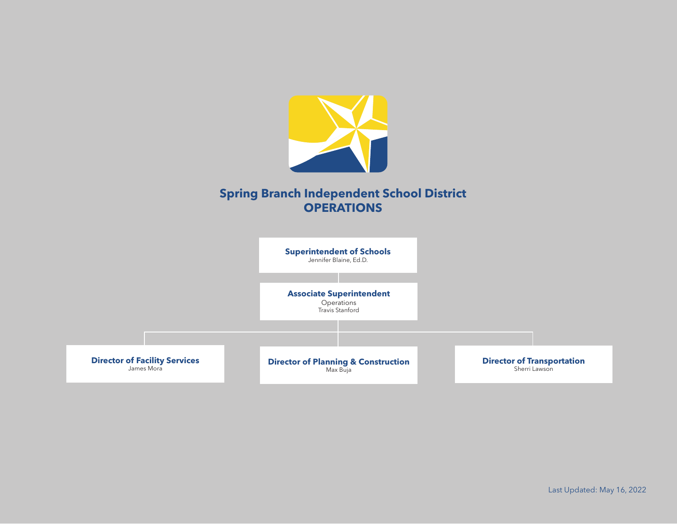

## **Spring Branch Independent School District OPERATIONS**